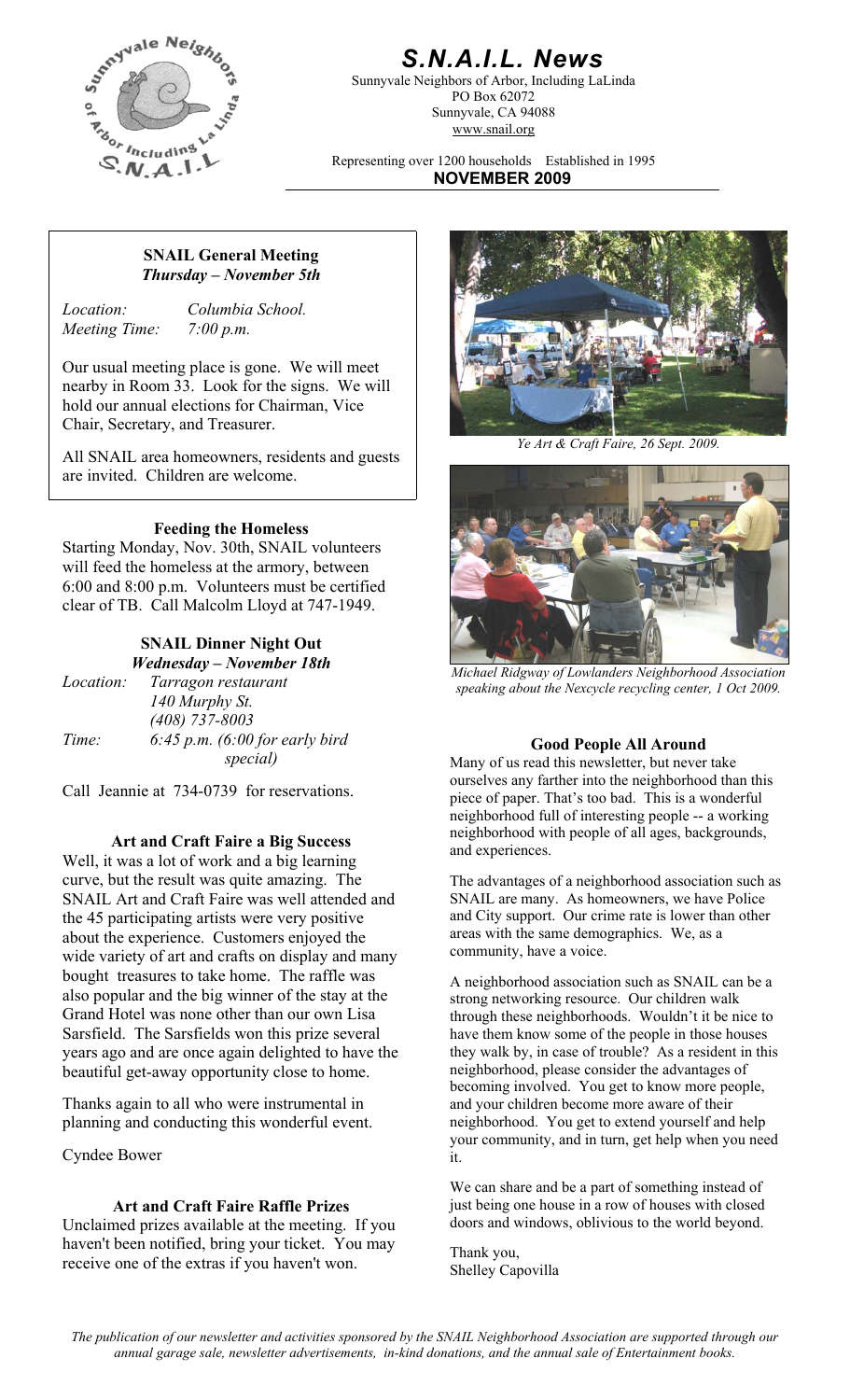

# *S.N.A.I.L. News*

Sunnyvale Neighbors of Arbor, Including LaLinda PO Box 62072 Sunnyvale, CA 94088 www.snail.org

Representing over 1200 households Established in 1995 **NOVEMBER 2009**

#### **SNAIL General Meeting**  *Thursday – November 5th*

*Meeting Time: 7:00 p.m.* 

*Location: Columbia School.* 

Our usual meeting place is gone. We will meet nearby in Room 33. Look for the signs. We will hold our annual elections for Chairman, Vice Chair, Secretary, and Treasurer.

All SNAIL area homeowners, residents and guests are invited. Children are welcome.

#### **Feeding the Homeless**

Starting Monday, Nov. 30th, SNAIL volunteers will feed the homeless at the armory, between 6:00 and 8:00 p.m. Volunteers must be certified clear of TB. Call Malcolm Lloyd at 747-1949.

## **SNAIL Dinner Night Out**

|                  | Wednesday – November 18th          |
|------------------|------------------------------------|
| <i>Location:</i> | Tarragon restaurant                |
|                  | 140 Murphy St.                     |
|                  | $(408)$ 737-8003                   |
| Time:            | $6:45$ p.m. $(6:00$ for early bird |
|                  | special)                           |

Call Jeannie at 734-0739 for reservations.

#### **Art and Craft Faire a Big Success**

Well, it was a lot of work and a big learning curve, but the result was quite amazing. The SNAIL Art and Craft Faire was well attended and the 45 participating artists were very positive about the experience. Customers enjoyed the wide variety of art and crafts on display and many bought treasures to take home. The raffle was also popular and the big winner of the stay at the Grand Hotel was none other than our own Lisa Sarsfield. The Sarsfields won this prize several years ago and are once again delighted to have the beautiful get-away opportunity close to home.

Thanks again to all who were instrumental in planning and conducting this wonderful event.

Cyndee Bower

#### **Art and Craft Faire Raffle Prizes**

Unclaimed prizes available at the meeting. If you haven't been notified, bring your ticket. You may receive one of the extras if you haven't won.<br>
Shellow Can



*Ye Art & Craft Faire, 26 Sept. 2009.* 



*Wednesday – November 18th Michael Ridgway of Lowlanders Neighborhood Association speaking about the Nexcycle recycling center, 1 Oct 2009.* 

*special)* **Good People All Around**  Many of us read this newsletter, but never take ourselves any farther into the neighborhood than this piece of paper. That's too bad. This is a wonderful neighborhood full of interesting people -- a working neighborhood with people of all ages, backgrounds, and experiences.

> The advantages of a neighborhood association such as SNAIL are many. As homeowners, we have Police and City support. Our crime rate is lower than other areas with the same demographics. We, as a community, have a voice.

> A neighborhood association such as SNAIL can be a strong networking resource. Our children walk through these neighborhoods. Wouldn't it be nice to have them know some of the people in those houses they walk by, in case of trouble? As a resident in this neighborhood, please consider the advantages of becoming involved. You get to know more people, and your children become more aware of their neighborhood. You get to extend yourself and help your community, and in turn, get help when you need it.

We can share and be a part of something instead of just being one house in a row of houses with closed doors and windows, oblivious to the world beyond.

Shelley Capovilla